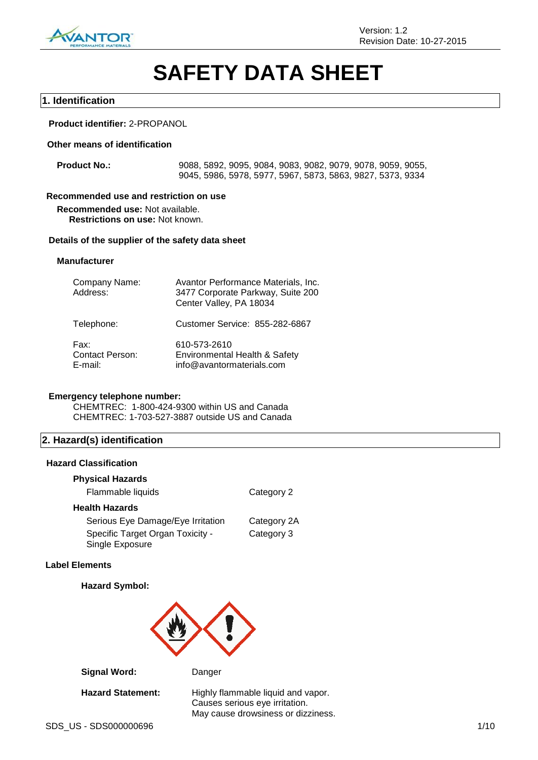

# **SAFETY DATA SHEET**

#### **1. Identification**

#### **Product identifier:** 2-PROPANOL

#### **Other means of identification**

**Product No.:** 9088, 5892, 9095, 9084, 9083, 9082, 9079, 9078, 9059, 9055, 9045, 5986, 5978, 5977, 5967, 5873, 5863, 9827, 5373, 9334

#### **Recommended use and restriction on use**

**Recommended use:** Not available. **Restrictions on use:** Not known.

#### **Details of the supplier of the safety data sheet**

#### **Manufacturer**

| Company Name:<br>Address:                 | Avantor Performance Materials, Inc.<br>3477 Corporate Parkway, Suite 200<br>Center Valley, PA 18034 |
|-------------------------------------------|-----------------------------------------------------------------------------------------------------|
| Telephone:                                | Customer Service: 855-282-6867                                                                      |
| Fax:<br><b>Contact Person:</b><br>E-mail: | 610-573-2610<br>Environmental Health & Safety<br>info@avantormaterials.com                          |

#### **Emergency telephone number:**

CHEMTREC: 1-800-424-9300 within US and Canada CHEMTREC: 1-703-527-3887 outside US and Canada

#### **2. Hazard(s) identification**

#### **Hazard Classification**

#### **Physical Hazards**

| Flammable liquids                                   | Category 2  |
|-----------------------------------------------------|-------------|
| Health Hazards                                      |             |
| Serious Eye Damage/Eye Irritation                   | Category 2A |
| Specific Target Organ Toxicity -<br>Single Exposure | Category 3  |

#### **Label Elements**

#### **Hazard Symbol:**



**Signal Word:** Danger

Hazard Statement: Highly flammable liquid and vapor. Causes serious eye irritation. May cause drowsiness or dizziness.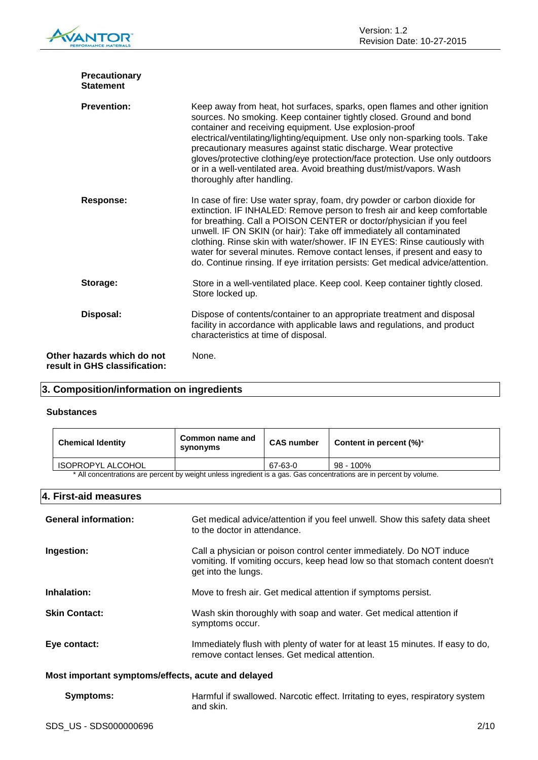| <b>Precautionary</b><br><b>Statement</b>                    |                                                                                                                                                                                                                                                                                                                                                                                                                                                                                                                                                      |
|-------------------------------------------------------------|------------------------------------------------------------------------------------------------------------------------------------------------------------------------------------------------------------------------------------------------------------------------------------------------------------------------------------------------------------------------------------------------------------------------------------------------------------------------------------------------------------------------------------------------------|
| <b>Prevention:</b>                                          | Keep away from heat, hot surfaces, sparks, open flames and other ignition<br>sources. No smoking. Keep container tightly closed. Ground and bond<br>container and receiving equipment. Use explosion-proof<br>electrical/ventilating/lighting/equipment. Use only non-sparking tools. Take<br>precautionary measures against static discharge. Wear protective<br>gloves/protective clothing/eye protection/face protection. Use only outdoors<br>or in a well-ventilated area. Avoid breathing dust/mist/vapors. Wash<br>thoroughly after handling. |
| <b>Response:</b>                                            | In case of fire: Use water spray, foam, dry powder or carbon dioxide for<br>extinction. IF INHALED: Remove person to fresh air and keep comfortable<br>for breathing. Call a POISON CENTER or doctor/physician if you feel<br>unwell. IF ON SKIN (or hair): Take off immediately all contaminated<br>clothing. Rinse skin with water/shower. IF IN EYES: Rinse cautiously with<br>water for several minutes. Remove contact lenses, if present and easy to<br>do. Continue rinsing. If eye irritation persists: Get medical advice/attention.        |
| Storage:                                                    | Store in a well-ventilated place. Keep cool. Keep container tightly closed.<br>Store locked up.                                                                                                                                                                                                                                                                                                                                                                                                                                                      |
| Disposal:                                                   | Dispose of contents/container to an appropriate treatment and disposal<br>facility in accordance with applicable laws and regulations, and product<br>characteristics at time of disposal.                                                                                                                                                                                                                                                                                                                                                           |
| Other hazards which do not<br>result in GHS classification: | None.                                                                                                                                                                                                                                                                                                                                                                                                                                                                                                                                                |

#### **3. Composition/information on ingredients**

#### **Substances**

| <b>Chemical Identity</b>                                                                                            | Common name and<br>synonyms | <b>CAS number</b> | Content in percent $(\%)^*$ |
|---------------------------------------------------------------------------------------------------------------------|-----------------------------|-------------------|-----------------------------|
| <b>ISOPROPYL ALCOHOL</b>                                                                                            |                             | 67-63-0           | 98 - 100%                   |
| * All concentrations are percent by weight unless ingredient is a gas. Gas concentrations are in percent by volume. |                             |                   |                             |

#### **4. First-aid measures**

| <b>General information:</b> | Get medical advice/attention if you feel unwell. Show this safety data sheet<br>to the doctor in attendance.                                                               |
|-----------------------------|----------------------------------------------------------------------------------------------------------------------------------------------------------------------------|
| Ingestion:                  | Call a physician or poison control center immediately. Do NOT induce<br>vomiting. If vomiting occurs, keep head low so that stomach content doesn't<br>get into the lungs. |
| Inhalation:                 | Move to fresh air. Get medical attention if symptoms persist.                                                                                                              |
| <b>Skin Contact:</b>        | Wash skin thoroughly with soap and water. Get medical attention if<br>symptoms occur.                                                                                      |
| Eye contact:                | Immediately flush with plenty of water for at least 15 minutes. If easy to do,<br>remove contact lenses. Get medical attention.                                            |

#### **Most important symptoms/effects, acute and delayed**

| <b>Symptoms:</b> | Harmful if swallowed. Narcotic effect. Irritating to eyes, respiratory system |
|------------------|-------------------------------------------------------------------------------|
|                  | and skin.                                                                     |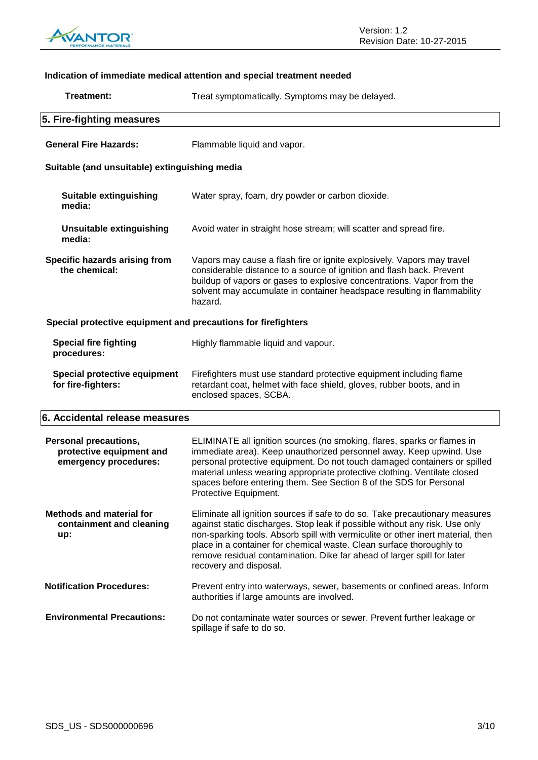

#### **Indication of immediate medical attention and special treatment needed Treatment:** Treat symptomatically. Symptoms may be delayed. **5. Fire-fighting measures General Fire Hazards:** Flammable liquid and vapor. **Suitable (and unsuitable) extinguishing media Suitable extinguishing media:** Water spray, foam, dry powder or carbon dioxide. **Unsuitable extinguishing media:** Avoid water in straight hose stream; will scatter and spread fire. **Specific hazards arising from the chemical:** Vapors may cause a flash fire or ignite explosively. Vapors may travel considerable distance to a source of ignition and flash back. Prevent buildup of vapors or gases to explosive concentrations. Vapor from the solvent may accumulate in container headspace resulting in flammability hazard. **Special protective equipment and precautions for firefighters Special fire fighting procedures:** Highly flammable liquid and vapour. **Special protective equipment for fire-fighters:** Firefighters must use standard protective equipment including flame retardant coat, helmet with face shield, gloves, rubber boots, and in enclosed spaces, SCBA. **6. Accidental release measures Personal precautions, protective equipment and emergency procedures:** ELIMINATE all ignition sources (no smoking, flares, sparks or flames in immediate area). Keep unauthorized personnel away. Keep upwind. Use personal protective equipment. Do not touch damaged containers or spilled material unless wearing appropriate protective clothing. Ventilate closed spaces before entering them. See Section 8 of the SDS for Personal Protective Equipment. **Methods and material for**  Eliminate all ignition sources if safe to do so. Take precautionary measures

**containment and cleaning up:** against static discharges. Stop leak if possible without any risk. Use only non-sparking tools. Absorb spill with vermiculite or other inert material, then place in a container for chemical waste. Clean surface thoroughly to remove residual contamination. Dike far ahead of larger spill for later recovery and disposal. **Notification Procedures:** Prevent entry into waterways, sewer, basements or confined areas. Inform

authorities if large amounts are involved. **Environmental Precautions:** Do not contaminate water sources or sewer. Prevent further leakage or spillage if safe to do so.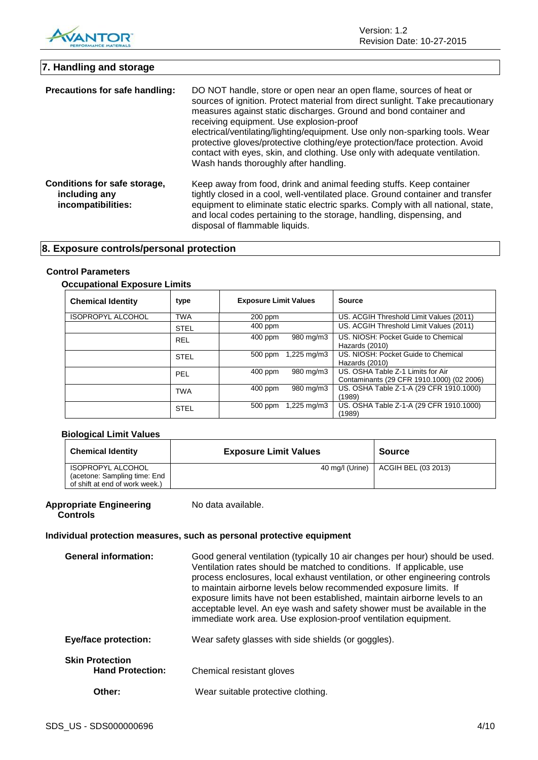

Version: 1.2 Revision Date: 10-27-2015

### **7. Handling and storage Precautions for safe handling:** DO NOT handle, store or open near an open flame, sources of heat or sources of ignition. Protect material from direct sunlight. Take precautionary measures against static discharges. Ground and bond container and receiving equipment. Use explosion-proof

electrical/ventilating/lighting/equipment. Use only non-sparking tools. Wear protective gloves/protective clothing/eye protection/face protection. Avoid contact with eyes, skin, and clothing. Use only with adequate ventilation. Wash hands thoroughly after handling.

**Conditions for safe storage, including any incompatibilities:** Keep away from food, drink and animal feeding stuffs. Keep container tightly closed in a cool, well-ventilated place. Ground container and transfer equipment to eliminate static electric sparks. Comply with all national, state, and local codes pertaining to the storage, handling, dispensing, and disposal of flammable liquids.

### **8. Exposure controls/personal protection**

#### **Control Parameters**

#### **Occupational Exposure Limits**

| <b>Chemical Identity</b> | type        | <b>Exposure Limit Values</b>        | <b>Source</b>                             |
|--------------------------|-------------|-------------------------------------|-------------------------------------------|
| <b>ISOPROPYL ALCOHOL</b> | <b>TWA</b>  | 200 ppm                             | US. ACGIH Threshold Limit Values (2011)   |
|                          | <b>STEL</b> | 400 ppm                             | US. ACGIH Threshold Limit Values (2011)   |
|                          | <b>REL</b>  | 980 mg/m3<br>$400$ ppm              | US. NIOSH: Pocket Guide to Chemical       |
|                          |             |                                     | Hazards (2010)                            |
|                          | <b>STEL</b> | $1,225 \,\mathrm{mq/m3}$<br>500 ppm | US. NIOSH: Pocket Guide to Chemical       |
|                          |             |                                     | Hazards (2010)                            |
|                          | <b>PEL</b>  | 980 mg/m3<br>$400$ ppm              | US. OSHA Table Z-1 Limits for Air         |
|                          |             |                                     | Contaminants (29 CFR 1910.1000) (02 2006) |
|                          | <b>TWA</b>  | 980 mg/m3<br>$400$ ppm              | US. OSHA Table Z-1-A (29 CFR 1910.1000)   |
|                          |             |                                     | (1989)                                    |
|                          | <b>STEL</b> | $1,225 \,\mathrm{mq/m3}$<br>500 ppm | US. OSHA Table Z-1-A (29 CFR 1910.1000)   |
|                          |             |                                     | (1989)                                    |

#### **Biological Limit Values**

| <b>Chemical Identity</b>       | <b>Exposure Limit Values</b> | <b>Source</b>       |
|--------------------------------|------------------------------|---------------------|
| ISOPROPYL ALCOHOL              | 40 mg/l (Urine)              | ACGIH BEL (03 2013) |
| (acetone: Sampling time: End   |                              |                     |
| of shift at end of work week.) |                              |                     |

#### **Appropriate Engineering Controls**

No data available.

#### **Individual protection measures, such as personal protective equipment**

| <b>General information:</b>                       | Good general ventilation (typically 10 air changes per hour) should be used.<br>Ventilation rates should be matched to conditions. If applicable, use<br>process enclosures, local exhaust ventilation, or other engineering controls<br>to maintain airborne levels below recommended exposure limits. If<br>exposure limits have not been established, maintain airborne levels to an<br>acceptable level. An eye wash and safety shower must be available in the<br>immediate work area. Use explosion-proof ventilation equipment. |
|---------------------------------------------------|----------------------------------------------------------------------------------------------------------------------------------------------------------------------------------------------------------------------------------------------------------------------------------------------------------------------------------------------------------------------------------------------------------------------------------------------------------------------------------------------------------------------------------------|
| <b>Eye/face protection:</b>                       | Wear safety glasses with side shields (or goggles).                                                                                                                                                                                                                                                                                                                                                                                                                                                                                    |
| <b>Skin Protection</b><br><b>Hand Protection:</b> | Chemical resistant gloves                                                                                                                                                                                                                                                                                                                                                                                                                                                                                                              |
| Other:                                            | Wear suitable protective clothing.                                                                                                                                                                                                                                                                                                                                                                                                                                                                                                     |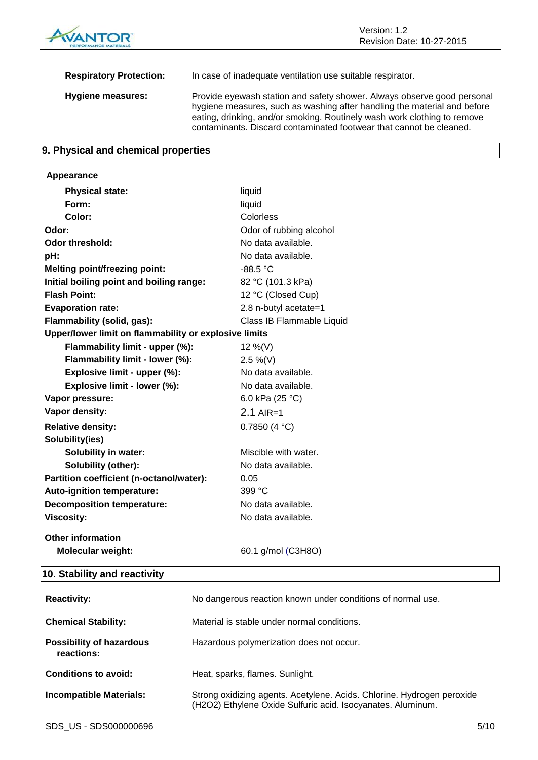

| <b>Respiratory Protection:</b> | In case of inadequate ventilation use suitable respirator.                                                                                                                                                                                                                                             |
|--------------------------------|--------------------------------------------------------------------------------------------------------------------------------------------------------------------------------------------------------------------------------------------------------------------------------------------------------|
| Hygiene measures:              | Provide eyewash station and safety shower. Always observe good personal<br>hygiene measures, such as washing after handling the material and before<br>eating, drinking, and/or smoking. Routinely wash work clothing to remove<br>contaminants. Discard contaminated footwear that cannot be cleaned. |

### **9. Physical and chemical properties**

| Appearance                                            |                           |
|-------------------------------------------------------|---------------------------|
| <b>Physical state:</b>                                | liquid                    |
| Form:                                                 | liquid                    |
| Color:                                                | Colorless                 |
| Odor:                                                 | Odor of rubbing alcohol   |
| Odor threshold:                                       | No data available.        |
| pH:                                                   | No data available.        |
| <b>Melting point/freezing point:</b>                  | -88.5 °C                  |
| Initial boiling point and boiling range:              | 82 °C (101.3 kPa)         |
| <b>Flash Point:</b>                                   | 12 °C (Closed Cup)        |
| <b>Evaporation rate:</b>                              | 2.8 n-butyl acetate=1     |
| Flammability (solid, gas):                            | Class IB Flammable Liquid |
| Upper/lower limit on flammability or explosive limits |                           |
| Flammability limit - upper (%):                       | 12 %(V)                   |
| Flammability limit - lower (%):                       | $2.5\%$ (V)               |
| Explosive limit - upper (%):                          | No data available.        |
| Explosive limit - lower (%):                          | No data available.        |
| Vapor pressure:                                       | 6.0 kPa (25 °C)           |
| Vapor density:                                        | $2.1$ AIR=1               |
| <b>Relative density:</b>                              | 0.7850(4 °C)              |
| Solubility(ies)                                       |                           |
| <b>Solubility in water:</b>                           | Miscible with water.      |
| Solubility (other):                                   | No data available.        |
| Partition coefficient (n-octanol/water):              | 0.05                      |
| Auto-ignition temperature:                            | 399 °C                    |
| <b>Decomposition temperature:</b>                     | No data available.        |
| <b>Viscosity:</b>                                     | No data available.        |
| <b>Other information</b>                              |                           |
| Molecular weight:                                     | 60.1 g/mol (C3H8O)        |
| 10 Ctability and roactivity                           |                           |

#### **10. Stability and reactivity**

| <b>Reactivity:</b>                            | No dangerous reaction known under conditions of normal use.                                                                           |
|-----------------------------------------------|---------------------------------------------------------------------------------------------------------------------------------------|
| <b>Chemical Stability:</b>                    | Material is stable under normal conditions.                                                                                           |
| <b>Possibility of hazardous</b><br>reactions: | Hazardous polymerization does not occur.                                                                                              |
| Conditions to avoid:                          | Heat, sparks, flames. Sunlight.                                                                                                       |
| <b>Incompatible Materials:</b>                | Strong oxidizing agents. Acetylene. Acids. Chlorine. Hydrogen peroxide<br>(H2O2) Ethylene Oxide Sulfuric acid. Isocyanates. Aluminum. |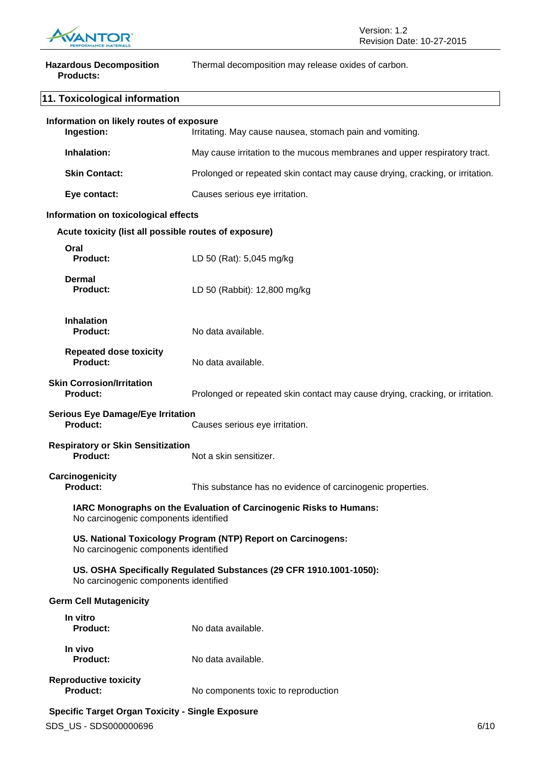

| <b>Hazardous Decomposition</b><br><b>Products:</b>                                                           | Thermal decomposition may release oxides of carbon.                           |
|--------------------------------------------------------------------------------------------------------------|-------------------------------------------------------------------------------|
| 11. Toxicological information                                                                                |                                                                               |
| Information on likely routes of exposure<br>Ingestion:                                                       | Irritating. May cause nausea, stomach pain and vomiting.                      |
| Inhalation:                                                                                                  | May cause irritation to the mucous membranes and upper respiratory tract.     |
| <b>Skin Contact:</b>                                                                                         | Prolonged or repeated skin contact may cause drying, cracking, or irritation. |
| Eye contact:                                                                                                 | Causes serious eye irritation.                                                |
| Information on toxicological effects                                                                         |                                                                               |
| Acute toxicity (list all possible routes of exposure)                                                        |                                                                               |
| Oral<br>Product:                                                                                             | LD 50 (Rat): 5,045 mg/kg                                                      |
| <b>Dermal</b><br><b>Product:</b>                                                                             | LD 50 (Rabbit): 12,800 mg/kg                                                  |
| <b>Inhalation</b><br><b>Product:</b>                                                                         | No data available.                                                            |
| <b>Repeated dose toxicity</b><br>Product:                                                                    | No data available.                                                            |
| <b>Skin Corrosion/Irritation</b><br><b>Product:</b>                                                          | Prolonged or repeated skin contact may cause drying, cracking, or irritation. |
| <b>Serious Eye Damage/Eye Irritation</b><br>Product:                                                         | Causes serious eye irritation.                                                |
| <b>Respiratory or Skin Sensitization</b><br><b>Product:</b>                                                  | Not a skin sensitizer.                                                        |
| Carcinogenicity<br><b>Product:</b>                                                                           | This substance has no evidence of carcinogenic properties.                    |
| No carcinogenic components identified                                                                        | IARC Monographs on the Evaluation of Carcinogenic Risks to Humans:            |
| No carcinogenic components identified                                                                        | US. National Toxicology Program (NTP) Report on Carcinogens:                  |
| US. OSHA Specifically Regulated Substances (29 CFR 1910.1001-1050):<br>No carcinogenic components identified |                                                                               |
| <b>Germ Cell Mutagenicity</b>                                                                                |                                                                               |
| In vitro<br><b>Product:</b>                                                                                  | No data available.                                                            |
| In vivo<br><b>Product:</b>                                                                                   | No data available.                                                            |
|                                                                                                              |                                                                               |

**Reproductive toxicity** No components toxic to reproduction

#### **Specific Target Organ Toxicity - Single Exposure**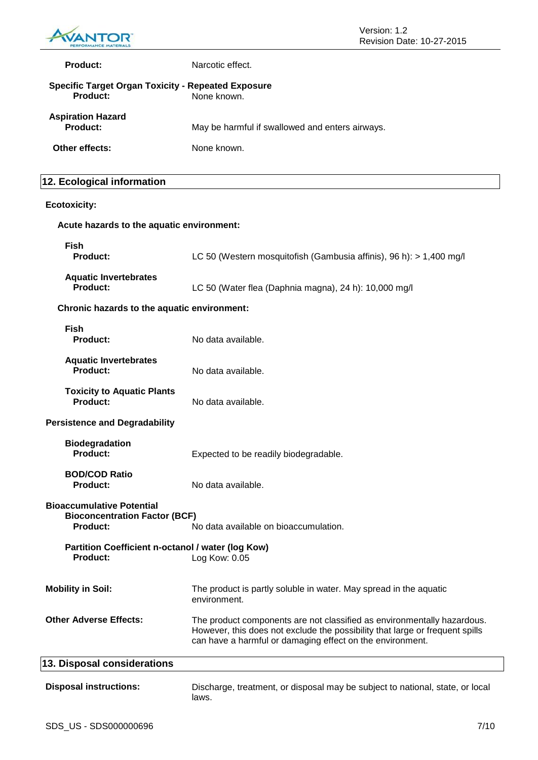

| Product:                             | Narcotic effect.                                                         |  |
|--------------------------------------|--------------------------------------------------------------------------|--|
| Product:                             | <b>Specific Target Organ Toxicity - Repeated Exposure</b><br>None known. |  |
| <b>Aspiration Hazard</b><br>Product: | May be harmful if swallowed and enters airways.                          |  |
| Other effects:                       | None known.                                                              |  |

#### **12. Ecological information**

#### **Ecotoxicity:**

## **Acute hazards to the aquatic environment: Fish Product:** LC 50 (Western mosquitofish (Gambusia affinis), 96 h): > 1,400 mg/l **Aquatic Invertebrates Product:** LC 50 (Water flea (Daphnia magna), 24 h): 10,000 mg/l **Chronic hazards to the aquatic environment: Fish Product:** No data available. **Aquatic Invertebrates Product:** No data available. **Toxicity to Aquatic Plants Product:** No data available. **Persistence and Degradability Biodegradation Product:** Expected to be readily biodegradable. **BOD/COD Ratio Product:** No data available. **Bioaccumulative Potential Bioconcentration Factor (BCF) Product:** No data available on bioaccumulation. **Partition Coefficient n-octanol / water (log Kow)** Product: Log Kow: 0.05 **Mobility in Soil:** The product is partly soluble in water. May spread in the aquatic environment. **Other Adverse Effects:** The product components are not classified as environmentally hazardous. However, this does not exclude the possibility that large or frequent spills can have a harmful or damaging effect on the environment. **13. Disposal considerations Disposal instructions:** Discharge, treatment, or disposal may be subject to national, state, or local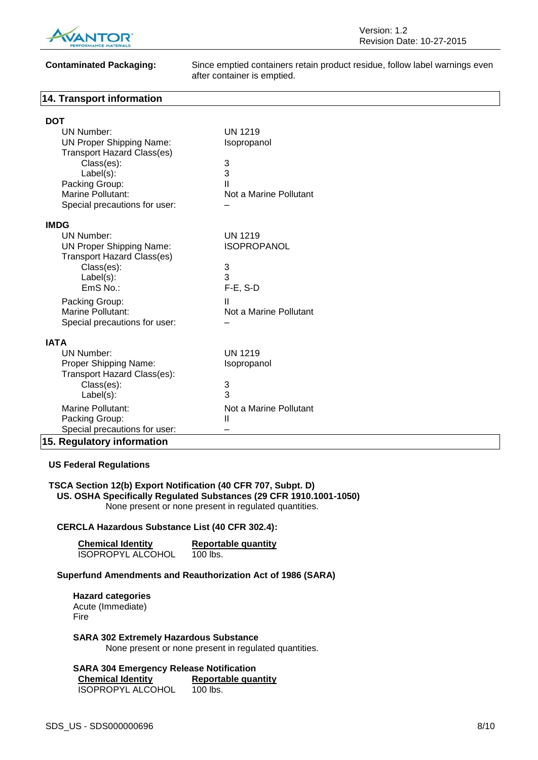

**Contaminated Packaging:** Since emptied containers retain product residue, follow label warnings even after container is emptied.

#### **14. Transport information**

| <b>DOT</b>                        |                        |  |
|-----------------------------------|------------------------|--|
| <b>UN Number:</b>                 | <b>UN 1219</b>         |  |
| <b>UN Proper Shipping Name:</b>   | Isopropanol            |  |
| <b>Transport Hazard Class(es)</b> |                        |  |
| Class(es):                        | 3                      |  |
| Label(s):                         | 3                      |  |
| Packing Group:                    | Ш                      |  |
| Marine Pollutant:                 | Not a Marine Pollutant |  |
| Special precautions for user:     |                        |  |
| <b>IMDG</b>                       |                        |  |
| UN Number:                        | <b>UN 1219</b>         |  |
| <b>UN Proper Shipping Name:</b>   | <b>ISOPROPANOL</b>     |  |
| <b>Transport Hazard Class(es)</b> |                        |  |
| Class(es):                        | 3                      |  |
| Label(s):                         | 3                      |  |
| EmS No.:                          | $F-E$ , S-D            |  |
| Packing Group:                    | Ш                      |  |
| Marine Pollutant:                 | Not a Marine Pollutant |  |
| Special precautions for user:     |                        |  |
| <b>IATA</b>                       |                        |  |
| UN Number:                        | <b>UN 1219</b>         |  |
| Proper Shipping Name:             | Isopropanol            |  |
| Transport Hazard Class(es):       |                        |  |
| Class(es):                        | 3                      |  |
| Label(s):                         | 3                      |  |
| Marine Pollutant:                 | Not a Marine Pollutant |  |
| Packing Group:                    | Ш                      |  |
| Special precautions for user:     |                        |  |
| 15. Regulatory information        |                        |  |

#### **US Federal Regulations**

#### **TSCA Section 12(b) Export Notification (40 CFR 707, Subpt. D) US. OSHA Specifically Regulated Substances (29 CFR 1910.1001-1050)** None present or none present in regulated quantities.

#### **CERCLA Hazardous Substance List (40 CFR 302.4):**

| <b>Chemical Identity</b> | <b>Reportable quantity</b> |
|--------------------------|----------------------------|
| <b>ISOPROPYL ALCOHOL</b> | 100 lbs.                   |

#### **Superfund Amendments and Reauthorization Act of 1986 (SARA)**

**Hazard categories** Acute (Immediate) Fire

**SARA 302 Extremely Hazardous Substance** None present or none present in regulated quantities.

**SARA 304 Emergency Release Notification Reportable quantity** ISOPROPYL ALCOHOL 100 lbs.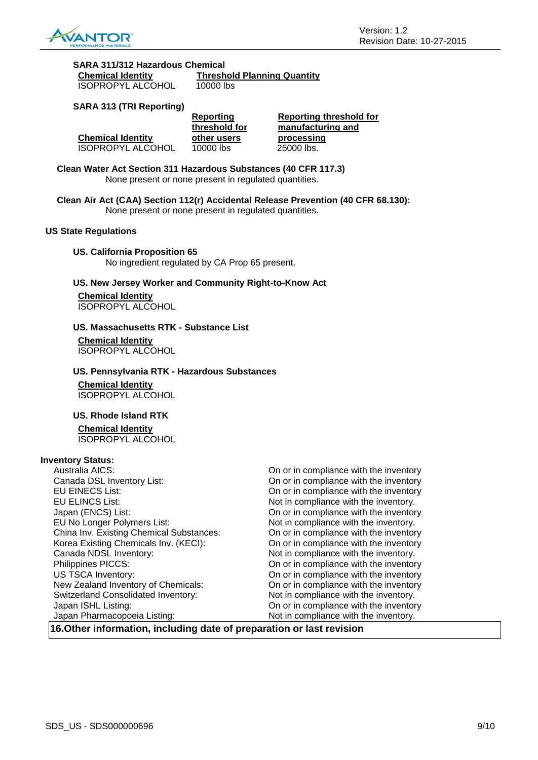

| SARA 311/312 Hazardous Chemical |                                    |
|---------------------------------|------------------------------------|
| <b>Chemical Identity</b>        | <b>Threshold Planning Quantity</b> |

ISOPROPYL ALCOHOL 10000 lbs

#### **SARA 313 (TRI Reporting)**

|                          | Reporting<br>threshold for | Reporting threshold for<br>manufacturing and |
|--------------------------|----------------------------|----------------------------------------------|
| <b>Chemical Identity</b> | other users                | processing                                   |
| <b>ISOPROPYL ALCOHOL</b> | 10000 lbs                  | 25000 lbs.                                   |

**Clean Water Act Section 311 Hazardous Substances (40 CFR 117.3)** None present or none present in regulated quantities.

**Clean Air Act (CAA) Section 112(r) Accidental Release Prevention (40 CFR 68.130):** None present or none present in regulated quantities.

**US State Regulations**

**US. California Proposition 65** No ingredient regulated by CA Prop 65 present.

**US. New Jersey Worker and Community Right-to-Know Act**

**Chemical Identity** ISOPROPYL ALCOHOL

#### **US. Massachusetts RTK - Substance List**

**Chemical Identity** ISOPROPYL ALCOHOL

#### **US. Pennsylvania RTK - Hazardous Substances**

**Chemical Identity** ISOPROPYL ALCOHOL

#### **US. Rhode Island RTK**

**Chemical Identity** ISOPROPYL ALCOHOL

#### **Inventory Status:**

| Australia AICS:                            | On or in compliance with the inventory |
|--------------------------------------------|----------------------------------------|
| Canada DSL Inventory List:                 | On or in compliance with the inventory |
| <b>EU EINECS List:</b>                     | On or in compliance with the inventory |
| <b>EU ELINCS List:</b>                     | Not in compliance with the inventory.  |
| Japan (ENCS) List:                         | On or in compliance with the inventory |
| EU No Longer Polymers List:                | Not in compliance with the inventory.  |
| China Inv. Existing Chemical Substances:   | On or in compliance with the inventory |
| Korea Existing Chemicals Inv. (KECI):      | On or in compliance with the inventory |
| Canada NDSL Inventory:                     | Not in compliance with the inventory.  |
| Philippines PICCS:                         | On or in compliance with the inventory |
| <b>US TSCA Inventory:</b>                  | On or in compliance with the inventory |
| New Zealand Inventory of Chemicals:        | On or in compliance with the inventory |
| <b>Switzerland Consolidated Inventory:</b> | Not in compliance with the inventory.  |
| Japan ISHL Listing:                        | On or in compliance with the inventory |
| Japan Pharmacopoeia Listing:               | Not in compliance with the inventory.  |

**16.Other information, including date of preparation or last revision**